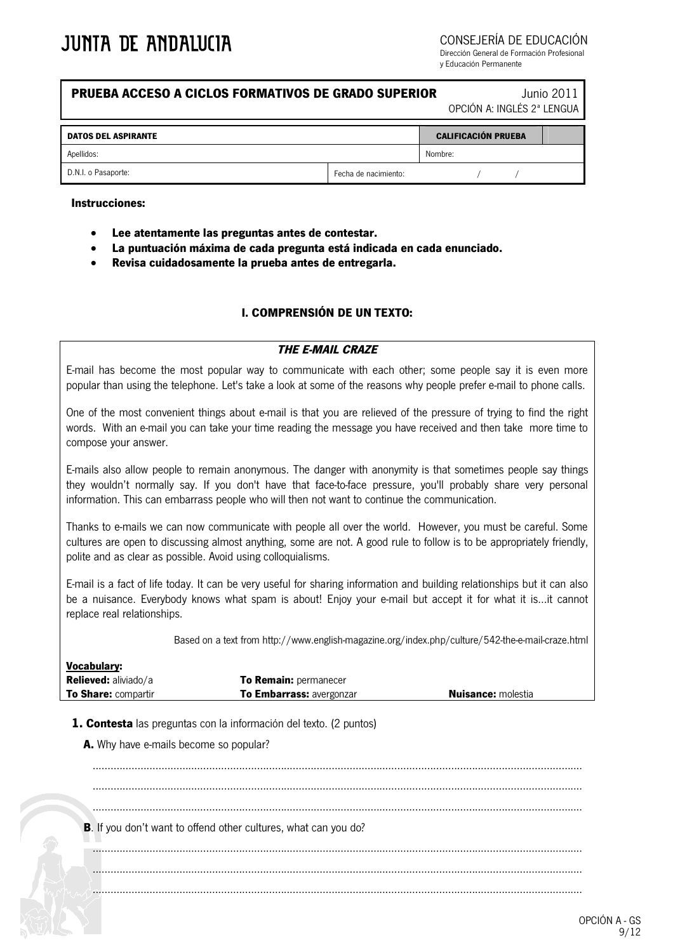CONSEJERÍA DE EDUCACIÓN

Dirección General de Formación Profesional y Educación Permanente

## **PRUEBA ACCESO A CICLOS FORMATIVOS DE GRADO SUPERIOR** Junio 2011

OPCIÓN A: INGLÉS 2ª LENGUA

| <b>DATOS DEL ASPIRANTE</b> |                      | <b>CALIFICACIÓN PRUEBA</b> |  |  |
|----------------------------|----------------------|----------------------------|--|--|
| Apellidos:                 |                      | Nombre:                    |  |  |
| D.N.I. o Pasaporte:        | Fecha de nacimiento: |                            |  |  |

#### **Instrucciones:**

- **Lee atentamente las preguntas antes de contestar.**
- **La puntuación máxima de cada pregunta está indicada en cada enunciado.**
- **Revisa cuidadosamente la prueba antes de entregarla.**

## **I. COMPRENSIÓN DE UN TEXTO:**

#### *THE E-MAIL CRAZE*

E-mail has become the most popular way to communicate with each other; some people say it is even more popular than using the telephone. Let's take a look at some of the reasons why people prefer e-mail to phone calls.

One of the most convenient things about e-mail is that you are relieved of the pressure of trying to find the right words. With an e-mail you can take your time reading the message you have received and then take more time to compose your answer.

E-mails also allow people to remain anonymous. The danger with anonymity is that sometimes people say things they wouldn't normally say. If you don't have that face-to-face pressure, you'll probably share very personal information. This can embarrass people who will then not want to continue the communication.

Thanks to e-mails we can now communicate with people all over the world. However, you must be careful. Some cultures are open to discussing almost anything, some are not. A good rule to follow is to be appropriately friendly, polite and as clear as possible. Avoid using colloquialisms.

E-mail is a fact of life today. It can be very useful for sharing information and building relationships but it can also be a nuisance. Everybody knows what spam is about! Enjoy your e-mail but accept it for what it is...it cannot replace real relationships.

Based on a text from http://www.english-magazine.org/index.php/culture/542-the-e-mail-craze.html

| <b>Vocabulary:</b>          |                                 |                           |
|-----------------------------|---------------------------------|---------------------------|
| <b>Relieved:</b> aliviado/a | <b>To Remain: permanecer</b>    |                           |
| <b>To Share: compartir</b>  | <b>To Embarrass: avergonzar</b> | <b>Nuisance:</b> molestia |

**1. Contesta** las preguntas con la información del texto. (2 puntos)

**A.** Why have e-mails become so popular?

.................................................................................................................................................................... .................................................................................................................................................................... .................................................................................................................................................................... **B**. If you don't want to offend other cultures, what can you do? .................................................................................................................................................................... .................................................................................................................................................................... ....................................................................................................................................................................